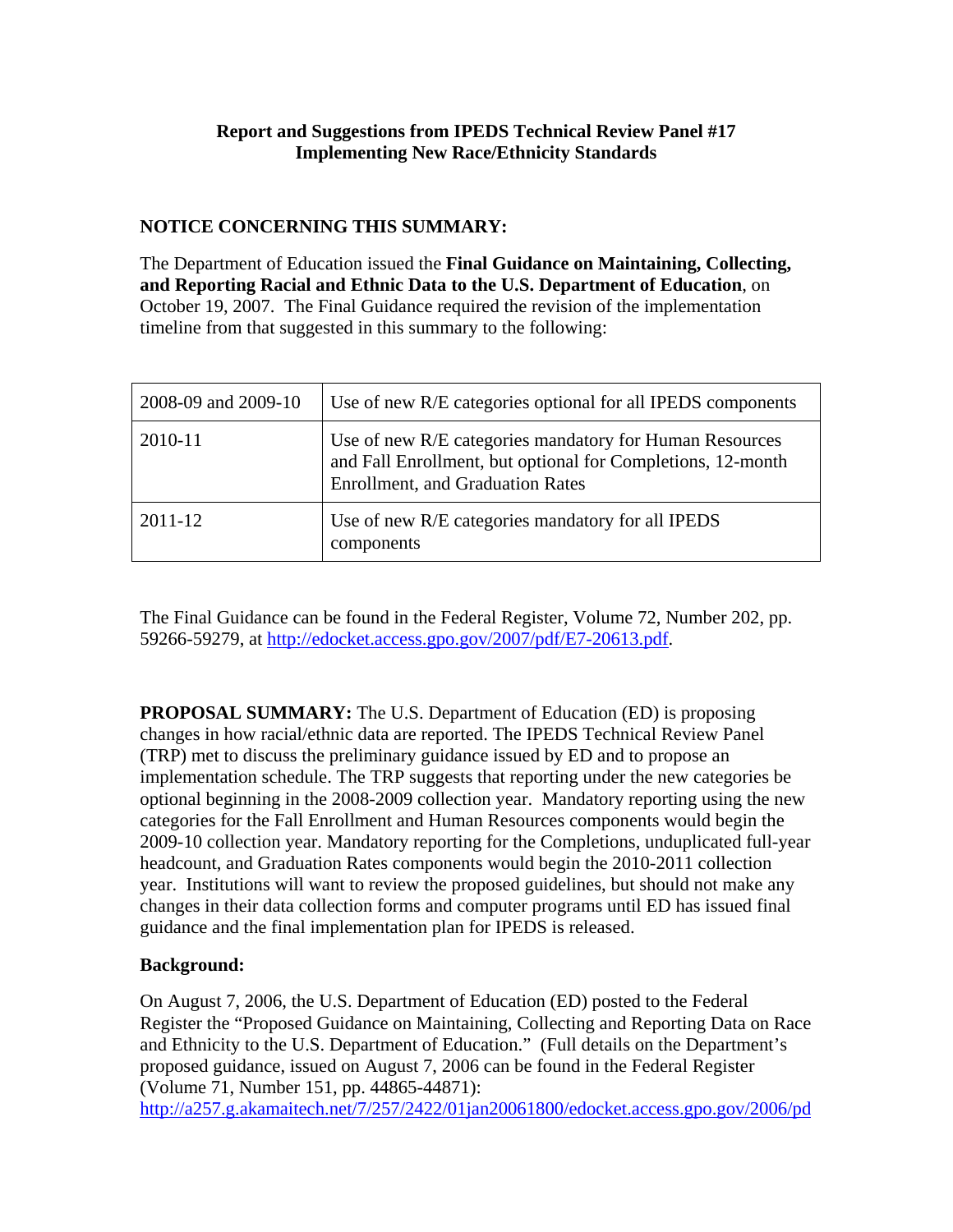# **Report and Suggestions from IPEDS Technical Review Panel #17 Implementing New Race/Ethnicity Standards**

# **NOTICE CONCERNING THIS SUMMARY:**

The Department of Education issued the **Final Guidance on Maintaining, Collecting, and Reporting Racial and Ethnic Data to the U.S. Department of Education**, on October 19, 2007. The Final Guidance required the revision of the implementation timeline from that suggested in this summary to the following:

| 2008-09 and 2009-10 | Use of new R/E categories optional for all IPEDS components                                                                                                       |
|---------------------|-------------------------------------------------------------------------------------------------------------------------------------------------------------------|
| 2010-11             | Use of new R/E categories mandatory for Human Resources<br>and Fall Enrollment, but optional for Completions, 12-month<br><b>Enrollment, and Graduation Rates</b> |
| 2011-12             | Use of new R/E categories mandatory for all IPEDS<br>components                                                                                                   |

The Final Guidance can be found in the Federal Register, Volume 72, Number 202, pp. 59266-59279, at http://edocket.access.gpo.gov/2007/pdf/E7-20613.pdf.

**PROPOSAL SUMMARY:** The U.S. Department of Education (ED) is proposing changes in how racial/ethnic data are reported. The IPEDS Technical Review Panel (TRP) met to discuss the preliminary guidance issued by ED and to propose an implementation schedule. The TRP suggests that reporting under the new categories be optional beginning in the 2008-2009 collection year. Mandatory reporting using the new categories for the Fall Enrollment and Human Resources components would begin the 2009-10 collection year. Mandatory reporting for the Completions, unduplicated full-year headcount, and Graduation Rates components would begin the 2010-2011 collection year. Institutions will want to review the proposed guidelines, but should not make any changes in their data collection forms and computer programs until ED has issued final guidance and the final implementation plan for IPEDS is released.

# **Background:**

On August 7, 2006, the U.S. Department of Education (ED) posted to the Federal Register the "Proposed Guidance on Maintaining, Collecting and Reporting Data on Race and Ethnicity to the U.S. Department of Education." (Full details on the Department's proposed guidance, issued on August 7, 2006 can be found in the Federal Register (Volume 71, Number 151, pp. 44865-44871):

http://a257.g.akamaitech.net/7/257/2422/01jan20061800/edocket.access.gpo.gov/2006/pd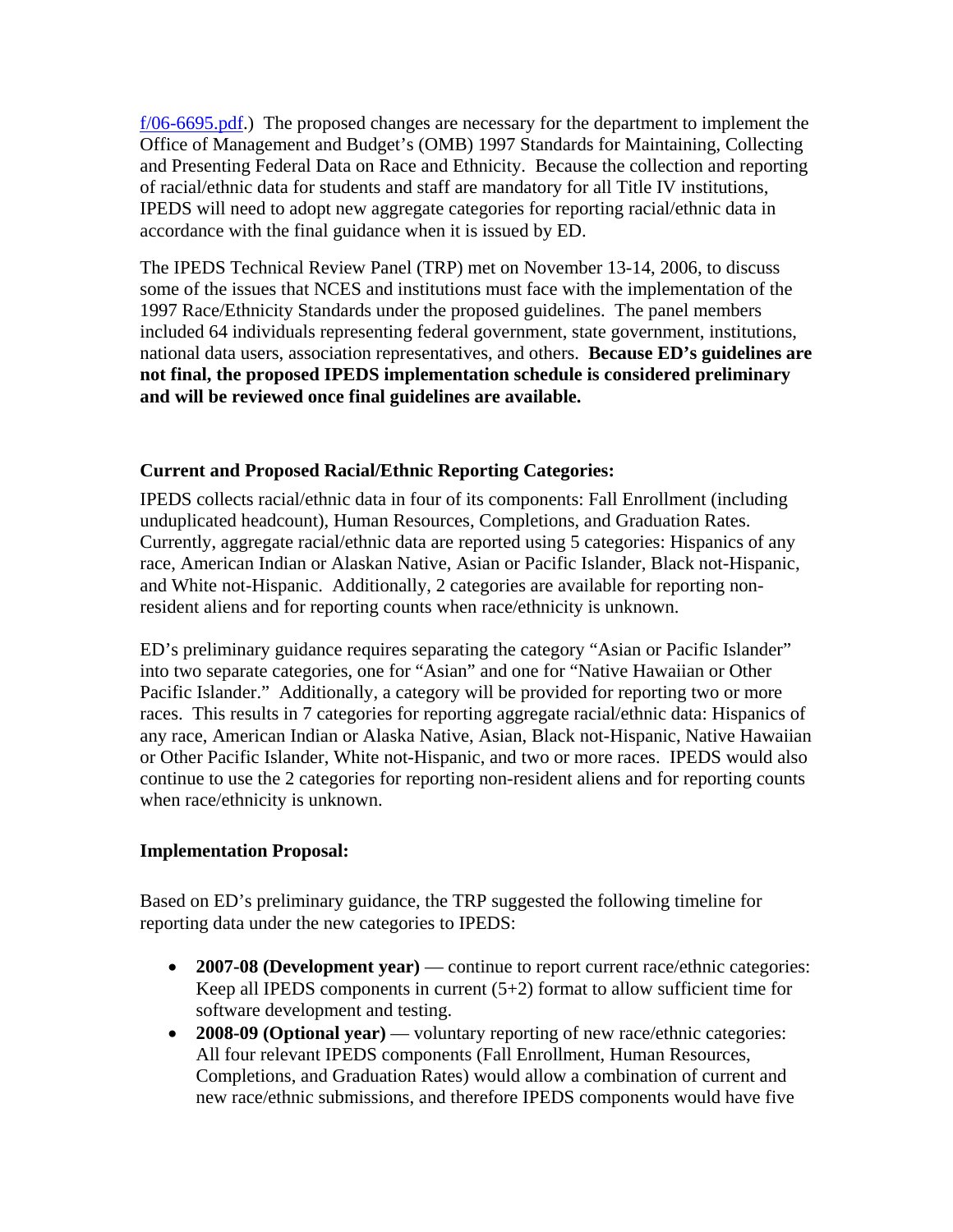f/06-6695.pdf.) The proposed changes are necessary for the department to implement the Office of Management and Budget's (OMB) 1997 Standards for Maintaining, Collecting and Presenting Federal Data on Race and Ethnicity. Because the collection and reporting of racial/ethnic data for students and staff are mandatory for all Title IV institutions, IPEDS will need to adopt new aggregate categories for reporting racial/ethnic data in accordance with the final guidance when it is issued by ED.

The IPEDS Technical Review Panel (TRP) met on November 13-14, 2006, to discuss some of the issues that NCES and institutions must face with the implementation of the 1997 Race/Ethnicity Standards under the proposed guidelines. The panel members included 64 individuals representing federal government, state government, institutions, national data users, association representatives, and others. **Because ED's guidelines are not final, the proposed IPEDS implementation schedule is considered preliminary and will be reviewed once final guidelines are available.** 

# **Current and Proposed Racial/Ethnic Reporting Categories:**

IPEDS collects racial/ethnic data in four of its components: Fall Enrollment (including unduplicated headcount), Human Resources, Completions, and Graduation Rates. Currently, aggregate racial/ethnic data are reported using 5 categories: Hispanics of any race, American Indian or Alaskan Native, Asian or Pacific Islander, Black not-Hispanic, and White not-Hispanic. Additionally, 2 categories are available for reporting nonresident aliens and for reporting counts when race/ethnicity is unknown.

ED's preliminary guidance requires separating the category "Asian or Pacific Islander" into two separate categories, one for "Asian" and one for "Native Hawaiian or Other Pacific Islander." Additionally, a category will be provided for reporting two or more races. This results in 7 categories for reporting aggregate racial/ethnic data: Hispanics of any race, American Indian or Alaska Native, Asian, Black not-Hispanic, Native Hawaiian or Other Pacific Islander, White not-Hispanic, and two or more races. IPEDS would also continue to use the 2 categories for reporting non-resident aliens and for reporting counts when race/ethnicity is unknown.

# **Implementation Proposal:**

Based on ED's preliminary guidance, the TRP suggested the following timeline for reporting data under the new categories to IPEDS:

- **2007-08 (Development year)** continue to report current race/ethnic categories: Keep all IPEDS components in current  $(5+2)$  format to allow sufficient time for software development and testing.
- **2008-09 (Optional year)** voluntary reporting of new race/ethnic categories: All four relevant IPEDS components (Fall Enrollment, Human Resources, Completions, and Graduation Rates) would allow a combination of current and new race/ethnic submissions, and therefore IPEDS components would have five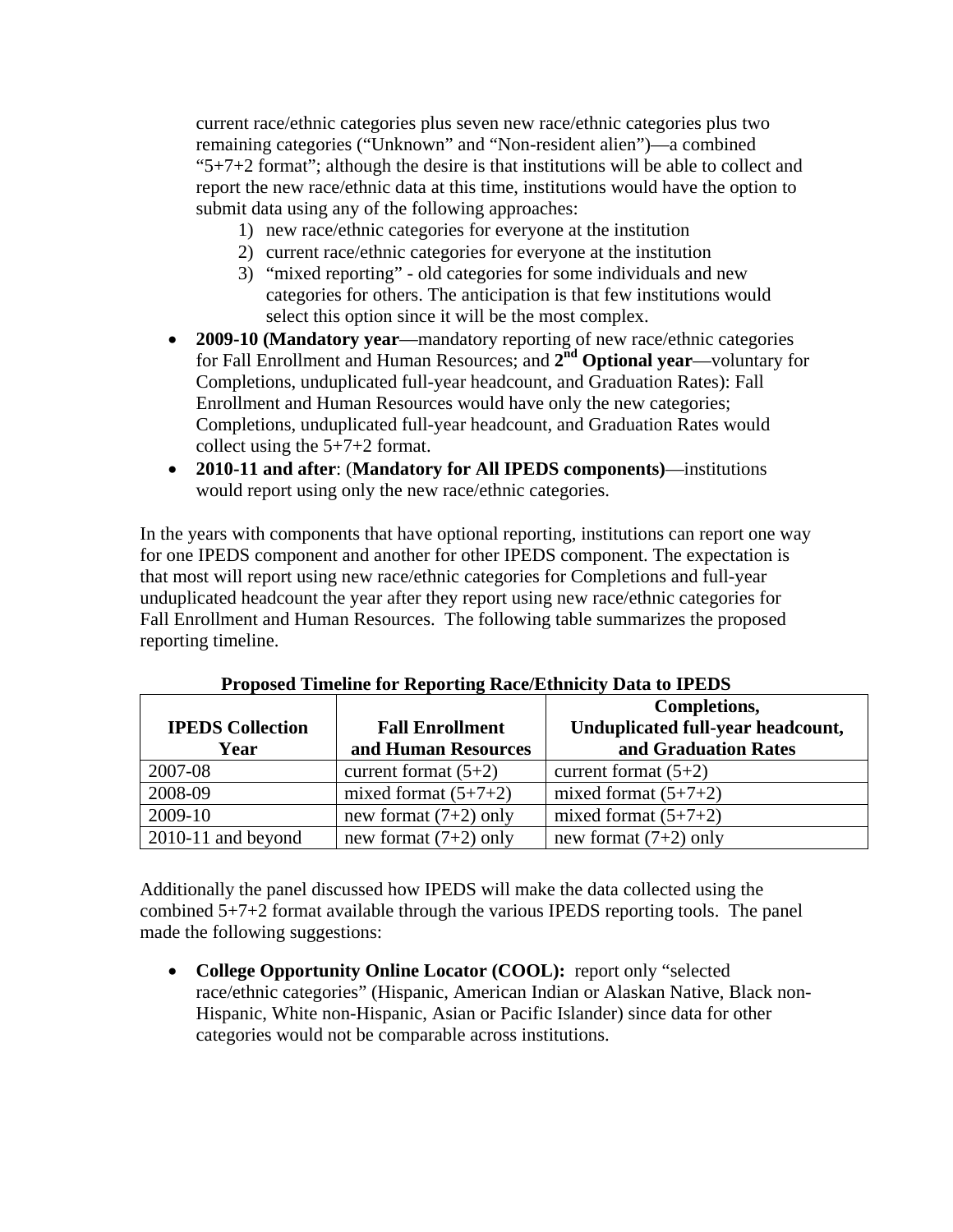current race/ethnic categories plus seven new race/ethnic categories plus two remaining categories ("Unknown" and "Non-resident alien")—a combined "5+7+2 format"; although the desire is that institutions will be able to collect and report the new race/ethnic data at this time, institutions would have the option to submit data using any of the following approaches:

- 1) new race/ethnic categories for everyone at the institution
- 2) current race/ethnic categories for everyone at the institution
- 3) "mixed reporting" old categories for some individuals and new categories for others. The anticipation is that few institutions would select this option since it will be the most complex.
- **2009-10 (Mandatory year**—mandatory reporting of new race/ethnic categories for Fall Enrollment and Human Resources; and **2nd Optional year**—voluntary for Completions, unduplicated full-year headcount, and Graduation Rates): Fall Enrollment and Human Resources would have only the new categories; Completions, unduplicated full-year headcount, and Graduation Rates would collect using the 5+7+2 format.
- **2010-11 and after**: (**Mandatory for All IPEDS components)**—institutions would report using only the new race/ethnic categories.

In the years with components that have optional reporting, institutions can report one way for one IPEDS component and another for other IPEDS component. The expectation is that most will report using new race/ethnic categories for Completions and full-year unduplicated headcount the year after they report using new race/ethnic categories for Fall Enrollment and Human Resources. The following table summarizes the proposed reporting timeline.

|                         |                         | Completions,                      |
|-------------------------|-------------------------|-----------------------------------|
| <b>IPEDS Collection</b> | <b>Fall Enrollment</b>  | Unduplicated full-year headcount, |
| Year                    | and Human Resources     | and Graduation Rates              |
| 2007-08                 | current format $(5+2)$  | current format $(5+2)$            |
| 2008-09                 | mixed format $(5+7+2)$  | mixed format $(5+7+2)$            |
| 2009-10                 | new format $(7+2)$ only | mixed format $(5+7+2)$            |
| $2010-11$ and beyond    | new format $(7+2)$ only | new format $(7+2)$ only           |

**Proposed Timeline for Reporting Race/Ethnicity Data to IPEDS** 

Additionally the panel discussed how IPEDS will make the data collected using the combined 5+7+2 format available through the various IPEDS reporting tools. The panel made the following suggestions:

• **College Opportunity Online Locator (COOL):** report only "selected race/ethnic categories" (Hispanic, American Indian or Alaskan Native, Black non-Hispanic, White non-Hispanic, Asian or Pacific Islander) since data for other categories would not be comparable across institutions.